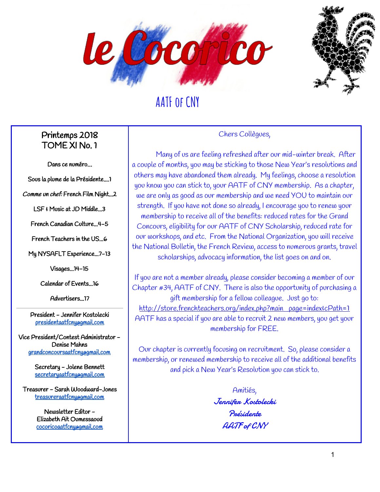



#### Printemps 2018 TOME XI No. 1

Dans ce numéro…

 $\mathbf{r}$ Sous la plume de la Présidente....1

Comme un chef: French Film Night...2

LSF & Music at JD Middle...3

French Canadian Culture...4-5

French Teachers in the US...6

My NYSAFLT Experience...7-13

Visages...14-15

Calendar of Events...16

Advertisers...17

President - Jennifer Kostolecki [presidentaatfcny@gmail.com](mailto:presidentaatfcny@gmail.com)

Vice President/Contest Administrator - Denise Mahns [grandconcoursaatfcny@gmail.com](mailto:grandconcoursaatfcny@gmail.com)

> Secretary - Jolene Bennett [secretaryaatfcny@gmail.com](mailto:secretaryaatfcny@gmail.com)

Treasurer - Sarah Woodward-Jones [treasureraatfcny@gmail.com](mailto:treasureraatfcny@gmail.com)

> Newsletter Editor - Elizabeth Ait Oumessaoud [cocoricoaatfcny@gmail.com](mailto:cocoricoaatfcny@gmail.com)

#### Chers Collègues,

Many of us are feeling refreshed after our mid-winter break. After a couple of months, you may be sticking to those New Year's resolutions and others may have abandoned them already. My feelings, choose a resolution you know you can stick to, your AATF of CNY membership. As a chapter, we are only as good as our membership and we need YOU to maintain our strength. If you have not done so already, I encourage you to renew your membership to receive all of the benefits: reduced rates for the Grand Concours, eligibility for our AATF of CNY Scholarship, reduced rate for our workshops, and etc. From the National Organization, you will receive the National Bulletin, the French Review, access to numerous grants, travel scholarships, advocacy information, the list goes on and on.

If you are not a member already, please consider becoming a member of our Chapter #34, AATF of CNY. There is also the opportunity of purchasing a gift membership for a fellow colleague. Just go to: [http://store.frenchteachers.org/index.php?main\\_page=index&cPath=1](http://store.frenchteachers.org/index.php?main_page=index&cPath=1) AATF has a special if you are able to recruit 2 new members, you get your membership for FREE.

Our chapter is currently focusing on recruitment. So, please consider a membership, or renewed membership to receive all of the additional benefits and pick a New Year's Resolution you can stick to.

> Amitiés, Jennifer Kostolecki Présidente AATF of CNY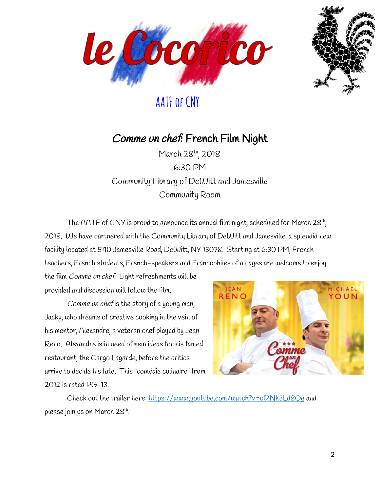



#### Comme un chef: French Film Night

March 28<sup>th</sup>, 2018 6:30 PM Community Library of DeWitt and Jamesville Community Room

The AATF of CNY is proud to announce its annual film night, scheduled for March 28th, 2018. We have partnered with the Community Library of DeWitt and Jamesville, a splendid new facility located at 5110 Jamesville Road, DeWitt, NY 13078. Starting at 6:30 PM, French teachers, French students, French-speakers and Francophiles of all ages are welcome to enjoy

the film Comme un chef. Light refreshments will be provided and discussion will follow the film.

Comme un chef is the story of a young man, Jacky, who dreams of creative cooking in the vein of his mentor, Alexandre, a veteran chef played by Jean Reno. Alexandre is in need of new ideas for his famed restaurant, the Cargo Lagarde, before the critics arrive to decide his fate. This "comédie culinaire" from 2012 is rated PG-13.



Check out the trailer here: <https://www.youtube.com/watch?v=cf2Nk3Ld8Og> and please join us on March 28<sup>th</sup>!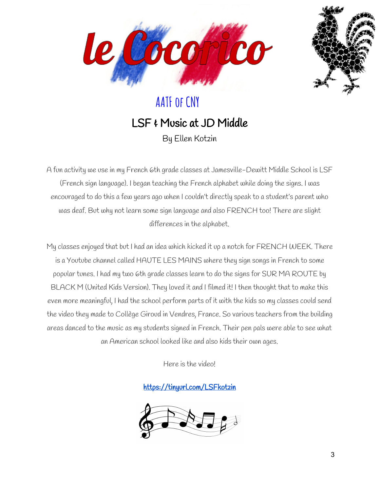



#### LSF & Music at JD Middle By Ellen Kotzin

A fun activity we use in my French 6th grade classes at Jamesville-Dewitt Middle School is LSF (French sign language). I began teaching the French alphabet while doing the signs. I was encouraged to do this a few years ago when I couldn't directly speak to a student's parent who was deaf. But why not learn some sign language and also FRENCH too! There are slight differences in the alphabet.

My classes enjoyed that but I had an idea which kicked it up a notch for FRENCH WEEK. There is a Youtube channel called HAUTE LES MAINS where they sign songs in French to some popular tunes. I had my two 6th grade classes learn to do the signs for SUR MA ROUTE by BLACK M (United Kids Version). They loved it and I filmed it! I then thought that to make this even more meaningful, I had the school perform parts of it with the kids so my classes could send the video they made to Collège Giroud in Vendres, France. So various teachers from the building areas danced to the music as my students signed in French. Their pen pals were able to see what an American school looked like and also kids their own ages.

Here is the video!

<https://tinyurl.com/LSFkotzin>

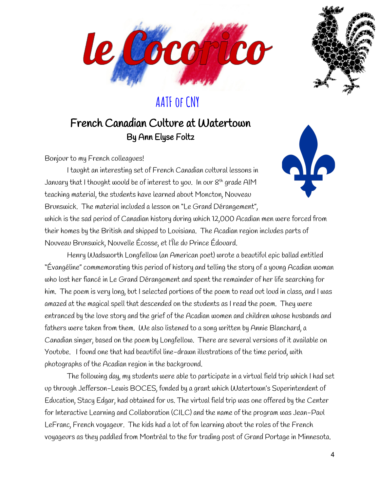



#### French Canadian Culture at Watertown By Ann Elyse Foltz

Bonjour to my French colleagues!



I taught an interesting set of French Canadian cultural lessons in January that I thought would be of interest to you. In our 8<sup>th</sup> grade AIM  $\,$ teaching material, the students have learned about Moncton, Nouveau Brunswick. The material included a lesson on "Le Grand Dérangement",

which is the sad period of Canadian history during which 12,000 Acadian men were forced from their homes by the British and shipped to Louisiana. The Acadian region includes parts of Nouveau Brunswick, Nouvelle Écosse, et l'Île du Prince Édouard.

Henry Wadsworth Longfellow (an American poet) wrote a beautiful epic ballad entitled "Évangéline" commemorating this period of history and telling the story of a young Acadian woman who lost her fiancé in Le Grand Dérangement and spent the remainder of her life searching for him. The poem is very long, but I selected portions of the poem to read out loud in class, and I was amazed at the magical spell that descended on the students as I read the poem. They were entranced by the love story and the grief of the Acadian women and children whose husbands and fathers were taken from them. We also listened to a song written by Annie Blanchard, a Canadian singer, based on the poem by Longfellow. There are several versions of it available on Youtube. I found one that had beautiful line-drawn illustrations of the time period, with photographs of the Acadian region in the background.

The following day, my students were able to participate in a virtual field trip which I had set up through Jefferson-Lewis BOCES, funded by a grant which Watertown's Superintendent of Education, Stacy Edgar, had obtained for us. The virtual field trip was one offered by the Center for Interactive Learning and Collaboration (CILC) and the name of the program was Jean-Paul LeFranc, French voyageur. The kids had a lot of fun learning about the roles of the French voyageurs as they paddled from Montréal to the fur trading post of Grand Portage in Minnesota.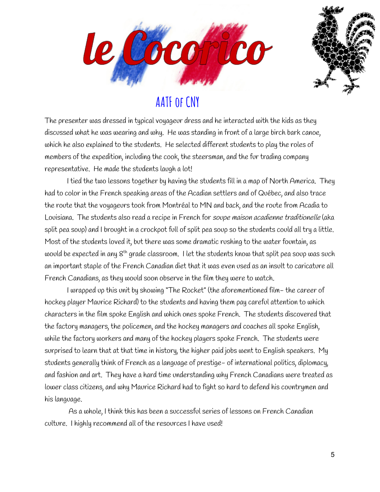



The presenter was dressed in typical voyageur dress and he interacted with the kids as they discussed what he was wearing and why. He was standing in front of a large birch bark canoe, which he also explained to the students. He selected different students to play the roles of members of the expedition, including the cook, the steersman, and the fur trading company representative. He made the students laugh a lot!

I tied the two lessons together by having the students fill in a map of North America. They had to color in the French speaking areas of the Acadian settlers and of Québec, and also trace the route that the voyageurs took from Montréal to MN and back, and the route from Acadia to Louisiana. The students also read a recipe in French for soupe maison acadienne traditionelle (aka split pea soup) and I brought in a crockpot full of split pea soup so the students could all try a little. Most of the students loved it, but there was some dramatic rushing to the water fountain, as would be expected in any 8<sup>th</sup> grade classroom. I let the students know that split pea soup was such an important staple of the French Canadian diet that it was even used as an insult to caricature all French Canadians, as they would soon observe in the film they were to watch.

I wrapped up this unit by showing "The Rocket" (the aforementioned film- the career of hockey player Maurice Richard) to the students and having them pay careful attention to which characters in the film spoke English and which ones spoke French. The students discovered that the factory managers, the policemen, and the hockey managers and coaches all spoke English, while the factory workers and many of the hockey players spoke French. The students were surprised to learn that at that time in history, the higher paid jobs went to English speakers. My students generally think of French as a language of prestige- of international politics, diplomacy, and fashion and art. They have a hard time understanding why French Canadians were treated as lower class citizens, and why Maurice Richard had to fight so hard to defend his countrymen and his language.

As a whole, I think this has been a successful series of lessons on French Canadian culture. I highly recommend all of the resources I have used!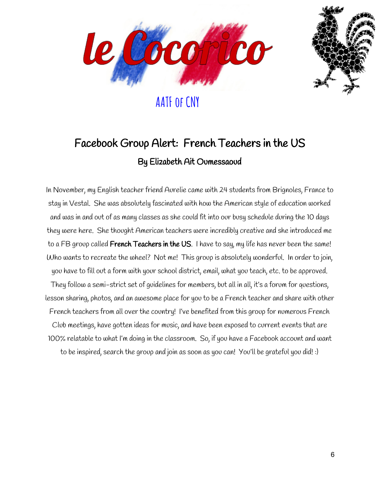



## Facebook Group Alert: French Teachers in the US By Elizabeth Ait Oumessaoud

In November, my English teacher friend Aurelie came with 24 students from Brignoles, France to stay in Vestal. She was absolutely fascinated with how the American style of education worked and was in and out of as many classes as she could fit into our busy schedule during the 10 days they were here. She thought American teachers were incredibly creative and she introduced me to a FB group called **French Teachers in the US**. I have to say, my life has never been the same! Who wants to recreate the wheel? Not me! This group is absolutely wonderful. In order to join, you have to fill out a form with your school district, email, what you teach, etc. to be approved. They follow a semi-strict set of guidelines for members, but all in all, it's a forum for questions, lesson sharing, photos, and an awesome place for you to be a French teacher and share with other French teachers from all over the country! I've benefited from this group for numerous French Club meetings, have gotten ideas for music, and have been exposed to current events that are 100% relatable to what I'm doing in the classroom. So, if you have a Facebook account and want to be inspired, search the group and join as soon as you can! You'll be grateful you did! :)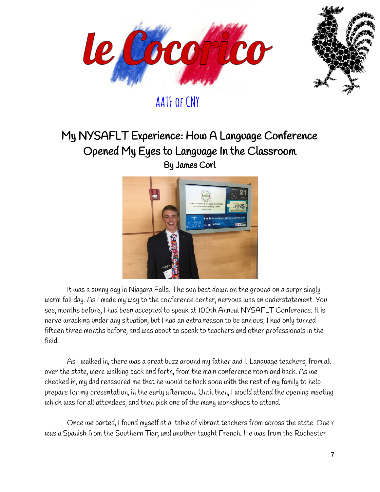



#### My NYSAFLT Experience: How A Language Conference Opened My Eyes to Language In the Classroom By James Corl



It was a sunny day in Niagara Falls. The sun beat down on the ground on a surprisingly warm fall day. As I made my way to the conference center, nervous was an understatement. You see, months before, I had been accepted to speak at 100th Annual NYSAFLT Conference. It is nerve wracking under any situation, but I had an extra reason to be anxious; I had only turned fifteen three months before, and was about to speak to teachers and other professionals in the field.

As I walked in, there was a great buzz around my father and I. Language teachers, from all over the state, were walking back and forth, from the main conference room and back. As we checked in, my dad reassured me that he would be back soon with the rest of my family to help prepare for my presentation, in the early afternoon. Until then, I would attend the opening meeting which was for all attendees, and then pick one of the many workshops to attend.

Once we parted, I found myself at a table of vibrant teachers from across the state. One r was a Spanish from the Southern Tier, and another taught French. He was from the Rochester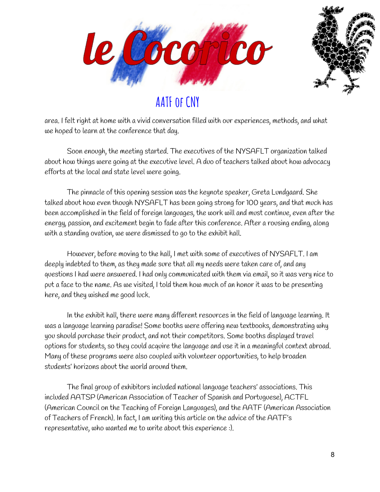



area. I felt right at home with a vivid conversation filled with our experiences, methods, and what we hoped to learn at the conference that day.

Soon enough, the meeting started. The executives of the NYSAFLT organization talked about how things were going at the executive level. A duo of teachers talked about how advocacy efforts at the local and state level were going.

The pinnacle of this opening session was the keynote speaker, Greta Lundgaard. She talked about how even though NYSAFLT has been going strong for 100 years, and that much has been accomplished in the field of foreign languages, the work will and must continue, even after the energy, passion, and excitement begin to fade after this conference. After a rousing ending, along with a standing ovation, we were dismissed to go to the exhibit hall.

However, before moving to the hall, I met with some of executives of NYSAFLT. I am deeply indebted to them, as they made sure that all my needs were taken care of, and any questions I had were answered. I had only communicated with them via email, so it was very nice to put a face to the name. As we visited, I told them how much of an honor it was to be presenting here, and they wished me good luck.

In the exhibit hall, there were many different resources in the field of language learning. It was a language learning paradise! Some booths were offering new textbooks, demonstrating why you should purchase their product, and not their competitors. Some booths displayed travel options for students, so they could acquire the language and use it in a meaningful context abroad. Many of these programs were also coupled with volunteer opportunities, to help broaden students' horizons about the world around them.

The final group of exhibitors included national language teachers' associations. This included AATSP (American Association of Teacher of Spanish and Portuguese), ACTFL (American Council on the Teaching of Foreign Languages), and the AATF (American Association of Teachers of French). In fact, I am writing this article on the advice of the AATF's representative, who wanted me to write about this experience :).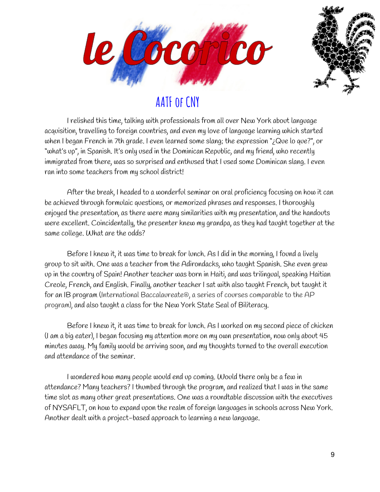



I relished this time, talking with professionals from all over New York about language acquisition, travelling to foreign countries, and even my love of language learning which started when I began French in 7th grade. I even learned some slang; the expression "¿Que lo que?", or "what's up", in Spanish. It's only used in the Dominican Republic, and my friend, who recently immigrated from there, was so surprised and enthused that I used some Dominican slang. I even ran into some teachers from my school district!

After the break, I headed to a wonderful seminar on oral proficiency focusing on how it can be achieved through formulaic questions, or memorized phrases and responses. I thoroughly enjoyed the presentation, as there were many similarities with my presentation, and the handouts were excellent. Coincidentally, the presenter knew my grandpa, as they had taught together at the same college. What are the odds?

Before I knew it, it was time to break for lunch. As I did in the morning, I found a lively group to sit with. One was a teacher from the Adirondacks, who taught Spanish. She even grew up in the country of Spain! Another teacher was born in Haiti, and was trilingual, speaking Haitian Creole, French, and English. Finally, another teacher I sat with also taught French, but taught it for an IB program (International Baccalaureate®, a series of courses comparable to the AP program), and also taught a class for the New York State Seal of Biliteracy.

Before I knew it, it was time to break for lunch. As I worked on my second piece of chicken (I am a big eater), I began focusing my attention more on my own presentation, now only about 45 minutes away. My family would be arriving soon, and my thoughts turned to the overall execution and attendance of the seminar.

I wondered how many people would end up coming. Would there only be a few in attendance? Many teachers? I thumbed through the program, and realized that I was in the same time slot as many other great presentations. One was a roundtable discussion with the executives of NYSAFLT, on how to expand upon the realm of foreign languages in schools across New York. Another dealt with a project-based approach to learning a new language.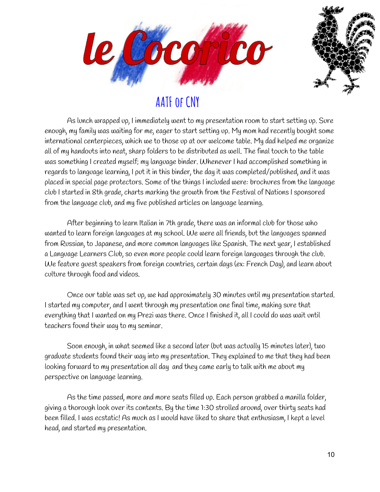



As lunch wrapped up, I immediately went to my presentation room to start setting up. Sure enough, my family was waiting for me, eager to start setting up. My mom had recently bought some international centerpieces, which we to those up at our welcome table. My dad helped me organize all of my handouts into neat, sharp folders to be distributed as well. The final touch to the table was something I created myself; my language binder. Whenever I had accomplished something in regards to language learning, I put it in this binder, the day it was completed/published, and it was placed in special page protectors. Some of the things I included were: brochures from the language club I started in 8th grade, charts marking the growth from the Festival of Nations I sponsored from the language club, and my five published articles on language learning.

After beginning to learn Italian in 7th grade, there was an informal club for those who wanted to learn foreign languages at my school. We were all friends, but the languages spanned from Russian, to Japanese, and more common languages like Spanish. The next year, I established a Language Learners Club, so even more people could learn foreign languages through the club. We feature guest speakers from foreign countries, certain days (ex: French Day), and learn about culture through food and videos.

Once our table was set up, we had approximately 30 minutes until my presentation started. I started my computer, and I went through my presentation one final time, making sure that everything that I wanted on my Prezi was there. Once I finished it, all I could do was wait until teachers found their way to my seminar.

Soon enough, in what seemed like a second later (but was actually 15 minutes later), two graduate students found their way into my presentation. They explained to me that they had been looking forward to my presentation all day and they came early to talk with me about my perspective on language learning.

As the time passed, more and more seats filled up. Each person grabbed a manilla folder, giving a thorough look over its contents. By the time 1:30 strolled around, over thirty seats had been filled. I was ecstatic! As much as I would have liked to share that enthusiasm, I kept a level head, and started my presentation.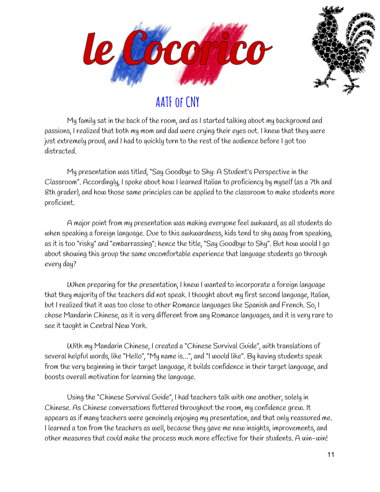



My family sat in the back of the room, and as I started talking about my background and passions, I realized that both my mom and dad were crying their eyes out. I knew that they were just extremely proud, and I had to quickly turn to the rest of the audience before I got too distracted.

My presentation was titled, "Say Goodbye to Shy: A Student's Perspective in the Classroom". Accordingly, I spoke about how I learned Italian to proficiency by myself (as a 7th and 8th grader), and how those same principles can be applied to the classroom to make students more proficient.

A major point from my presentation was making everyone feel awkward, as all students do when speaking a foreign language. Due to this awkwardness, kids tend to shy away from speaking, as it is too "risky" and "embarrassing"; hence the title, "Say Goodbye to Shy". But how would I go about showing this group the same uncomfortable experience that language students go through every day?

When preparing for the presentation, I knew I wanted to incorporate a foreign language that they majority of the teachers did not speak. I thought about my first second language, Italian, but I realized that it was too close to other Romance languages like Spanish and French. So, I chose Mandarin Chinese, as it is very different from any Romance languages, and it is very rare to see it taught in Central New York.

With my Mandarin Chinese, I created a "Chinese Survival Guide", with translations of several helpful words, like "Hello", "My name is…", and "I would like". By having students speak from the very beginning in their target language, it builds confidence in their target language, and boosts overall motivation for learning the language.

Using the "Chinese Survival Guide", I had teachers talk with one another, solely in Chinese. As Chinese conversations fluttered throughout the room, my confidence grew. It appears as if many teachers were genuinely enjoying my presentation, and that only reassured me. I learned a ton from the teachers as well, because they gave me new insights, improvements, and other measures that could make the process much more effective for their students. A win-win!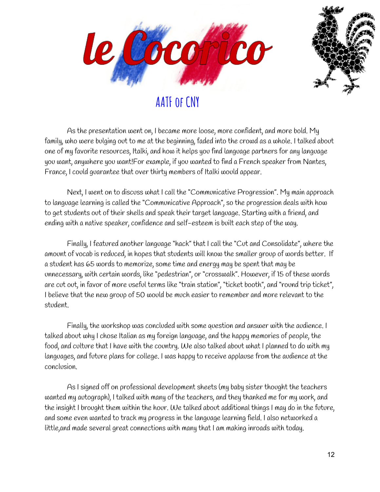



As the presentation went on, I became more loose, more confident, and more bold. My family, who were bulging out to me at the beginning, faded into the crowd as a whole. I talked about one of my favorite resources, Italki, and how it helps you find language partners for any language you want, anywhere you want!For example, if you wanted to find a French speaker from Nantes, France, I could guarantee that over thirty members of Italki would appear.

Next, I went on to discuss what I call the "Communicative Progression". My main approach to language learning is called the "Communicative Approach", so the progression deals with how to get students out of their shells and speak their target language. Starting with a friend, and ending with a native speaker, confidence and self-esteem is built each step of the way.

Finally, I featured another language "hack" that I call the "Cut and Consolidate", where the amount of vocab is reduced, in hopes that students will know the smaller group of words better. If a student has 65 words to memorize, some time and energy may be spent that may be unnecessary, with certain words, like "pedestrian", or "crosswalk". However, if 15 of these words are cut out, in favor of more useful terms like "train station", "ticket booth", and "round trip ticket", I believe that the new group of 50 would be much easier to remember and more relevant to the student.

Finally, the workshop was concluded with some question and answer with the audience. I talked about why I chose Italian as my foreign language, and the happy memories of people, the food, and culture that I have with the country. We also talked about what I planned to do with my languages, and future plans for college. I was happy to receive applause from the audience at the conclusion.

As I signed off on professional development sheets (my baby sister thought the teachers wanted my autograph), I talked with many of the teachers, and they thanked me for my work, and the insight I brought them within the hour. We talked about additional things I may do in the future, and some even wanted to track my progress in the language learning field. I also networked a little,and made several great connections with many that I am making inroads with today.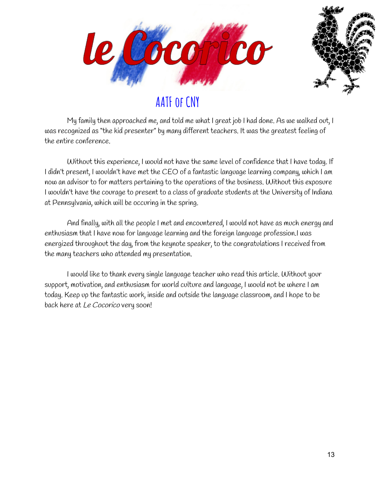



My family then approached me, and told me what I great job I had done. As we walked out, I was recognized as "the kid presenter" by many different teachers. It was the greatest feeling of the entire conference.

Without this experience, I would not have the same level of confidence that I have today. If I didn't present, I wouldn't have met the CEO of a fantastic language learning company, which I am now an advisor to for matters pertaining to the operations of the business. Without this exposure I wouldn't have the courage to present to a class of graduate students at the University of Indiana at Pennsylvania, which will be occuring in the spring.

And finally, with all the people I met and encountered, I would not have as much energy and enthusiasm that I have now for language learning and the foreign language profession.I was energized throughout the day, from the keynote speaker, to the congratulations I received from the many teachers who attended my presentation.

I would like to thank every single language teacher who read this article. Without your support, motivation, and enthusiasm for world culture and language, I would not be where I am today. Keep up the fantastic work, inside and outside the language classroom, and I hope to be back here at Le Cocorico very soon!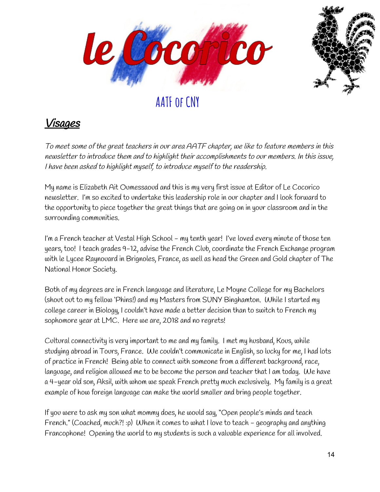



#### Visages

To meet some of the great teachers in our area AATF chapter, we like to feature members in this newsletter to introduce them and to highlight their accomplishments to our members. In this issue, <sup>I</sup> have been asked to highlight myself, to introduce myself to the readership.

My name is Elizabeth Ait Oumessaoud and this is my very first issue at Editor of Le Cocorico newsletter. I'm so excited to undertake this leadership role in our chapter and I look forward to the opportunity to piece together the great things that are going on in your classroom and in the surrounding communities.

I'm a French teacher at Vestal High School - my tenth year! I've loved every minute of those ten years, too! I teach grades 9-12, advise the French Club, coordinate the French Exchange program with le Lycee Raynouard in Brignoles, France, as well as head the Green and Gold chapter of The National Honor Society.

Both of my degrees are in French language and literature, Le Moyne College for my Bachelors (shout out to my fellow 'Phins!) and my Masters from SUNY Binghamton. While I started my college career in Biology, I couldn't have made a better decision than to switch to French my sophomore year at LMC. Here we are, 2018 and no regrets!

Cultural connectivity is very important to me and my family. I met my husband, Kous, while studying abroad in Tours, France. We couldn't communicate in English, so lucky for me, I had lots of practice in French! Being able to connect with someone from a different background, race, language, and religion allowed me to be become the person and teacher that I am today. We have a 4-year old son, Aksil, with whom we speak French pretty much exclusively. My family is a great example of how foreign language can make the world smaller and bring people together.

If you were to ask my son what mommy does, he would say, "Open people's minds and teach French." (Coached, much?! :p) When it comes to what I love to teach - geography and anything Francophone! Opening the world to my students is such a valuable experience for all involved.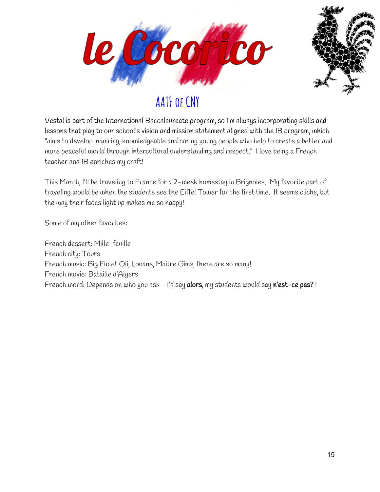



Vestal is part of the International Baccalaureate program, so I'm always incorporating skills and lessons that play to our school's vision and mission statement aligned with the IB program, which "aims to develop inquiring, knowledgeable and caring young people who help to create a better and more peaceful world through intercultural understanding and respect." I love being a French teacher and IB enriches my craft!

This March, I'll be traveling to France for a 2-week homestay in Brignoles. My favorite part of traveling would be when the students see the Eiffel Tower for the first time. It seems cliche, but the way their faces light up makes me so happy!

Some of my other favorites:

French dessert: Mille-feuille French city: Tours French music: Big Flo et Oli, Louane, Maitre Gims, there are so many! French movie: Bataille d'Algers French word: Depends on who you ask - I'd say alors, my students would say n'est-ce pas?!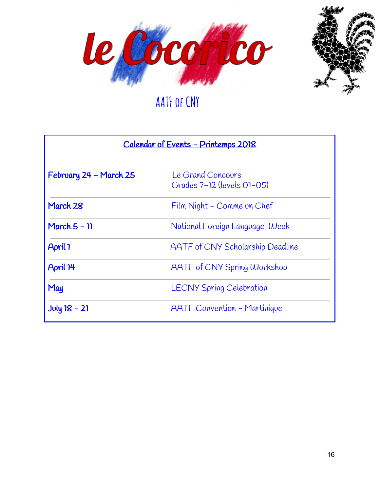



| <u> Calendar of Events - Printemps 2018</u> |                                                 |
|---------------------------------------------|-------------------------------------------------|
| February 24 - March 25                      | Le Grand Concours<br>Grades 7-12 (levels 01-05) |
| March 28                                    | Film Night - Comme un Chef                      |
| March $5 - 11$                              | National Foreign Language Week                  |
| April 1                                     | <b>AATF</b> of CNY Scholarship Deadline         |
| April 14                                    | <b>AATF of CNY Spring Workshop</b>              |
| May                                         | <b>LECNY Spring Celebration</b>                 |
| $Joly$ 18 – 21                              | <b>AATF</b> Convention - Martinique             |